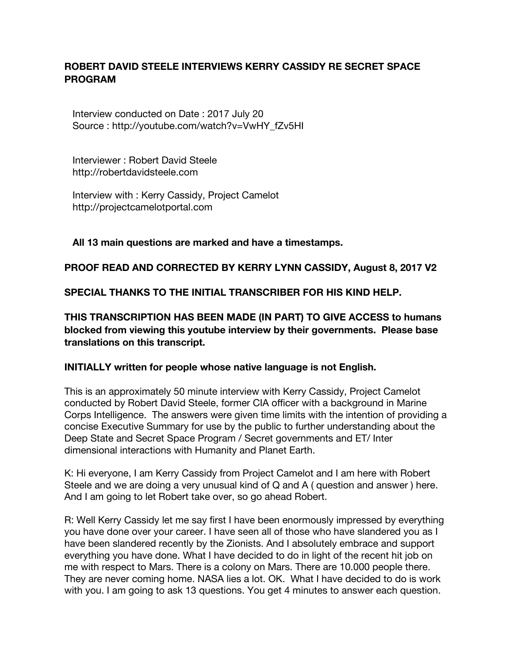## **ROBERT DAVID STEELE INTERVIEWS KERRY CASSIDY RE SECRET SPACE PROGRAM**

 Interview conducted on Date : 2017 July 20 Source : http://youtube.com/watch?v=VwHY\_fZv5HI

 Interviewer : Robert David Steele http://robertdavidsteele.com

 Interview with : Kerry Cassidy, Project Camelot http://projectcamelotportal.com

### **All 13 main questions are marked and have a timestamps.**

### **PROOF READ AND CORRECTED BY KERRY LYNN CASSIDY, August 8, 2017 V2**

**SPECIAL THANKS TO THE INITIAL TRANSCRIBER FOR HIS KIND HELP.**

**THIS TRANSCRIPTION HAS BEEN MADE (IN PART) TO GIVE ACCESS to humans blocked from viewing this youtube interview by their governments. Please base translations on this transcript.**

#### **INITIALLY written for people whose native language is not English.**

This is an approximately 50 minute interview with Kerry Cassidy, Project Camelot conducted by Robert David Steele, former CIA officer with a background in Marine Corps Intelligence. The answers were given time limits with the intention of providing a concise Executive Summary for use by the public to further understanding about the Deep State and Secret Space Program / Secret governments and ET/ Inter dimensional interactions with Humanity and Planet Earth.

K: Hi everyone, I am Kerry Cassidy from Project Camelot and I am here with Robert Steele and we are doing a very unusual kind of Q and A ( question and answer ) here. And I am going to let Robert take over, so go ahead Robert.

R: Well Kerry Cassidy let me say first I have been enormously impressed by everything you have done over your career. I have seen all of those who have slandered you as I have been slandered recently by the Zionists. And I absolutely embrace and support everything you have done. What I have decided to do in light of the recent hit job on me with respect to Mars. There is a colony on Mars. There are 10.000 people there. They are never coming home. NASA lies a lot. OK. What I have decided to do is work with you. I am going to ask 13 questions. You get 4 minutes to answer each question.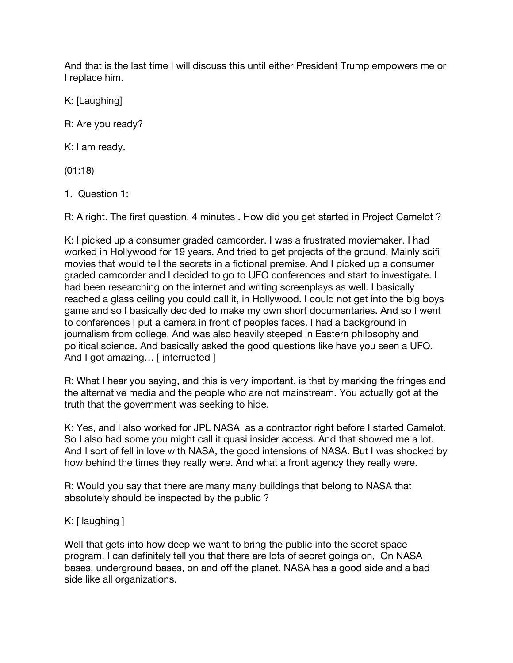And that is the last time I will discuss this until either President Trump empowers me or I replace him.

K: [Laughing]

R: Are you ready?

K: I am ready.

(01:18)

1. Question 1:

R: Alright. The first question. 4 minutes . How did you get started in Project Camelot ?

K: I picked up a consumer graded camcorder. I was a frustrated moviemaker. I had worked in Hollywood for 19 years. And tried to get projects of the ground. Mainly scifi movies that would tell the secrets in a fictional premise. And I picked up a consumer graded camcorder and I decided to go to UFO conferences and start to investigate. I had been researching on the internet and writing screenplays as well. I basically reached a glass ceiling you could call it, in Hollywood. I could not get into the big boys game and so I basically decided to make my own short documentaries. And so I went to conferences I put a camera in front of peoples faces. I had a background in journalism from college. And was also heavily steeped in Eastern philosophy and political science. And basically asked the good questions like have you seen a UFO. And I got amazing... [ interrupted ]

R: What I hear you saying, and this is very important, is that by marking the fringes and the alternative media and the people who are not mainstream. You actually got at the truth that the government was seeking to hide.

K: Yes, and I also worked for JPL NASA as a contractor right before I started Camelot. So I also had some you might call it quasi insider access. And that showed me a lot. And I sort of fell in love with NASA, the good intensions of NASA. But I was shocked by how behind the times they really were. And what a front agency they really were.

R: Would you say that there are many many buildings that belong to NASA that absolutely should be inspected by the public ?

# K: [ laughing ]

Well that gets into how deep we want to bring the public into the secret space program. I can definitely tell you that there are lots of secret goings on, On NASA bases, underground bases, on and off the planet. NASA has a good side and a bad side like all organizations.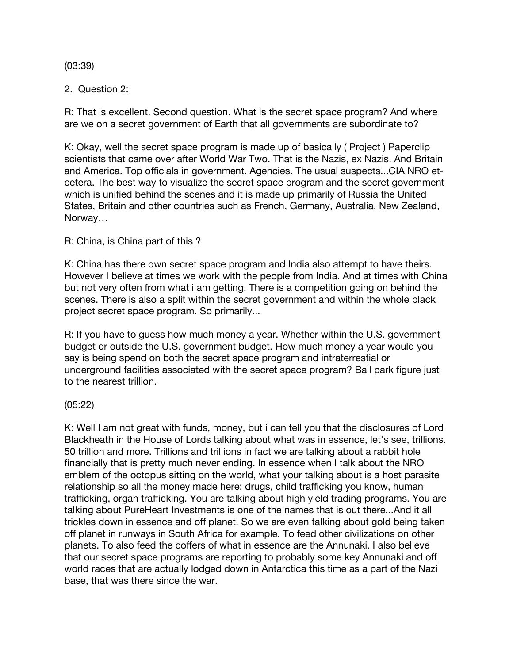#### (03:39)

### 2. Question 2:

R: That is excellent. Second question. What is the secret space program? And where are we on a secret government of Earth that all governments are subordinate to?

K: Okay, well the secret space program is made up of basically ( Project ) Paperclip scientists that came over after World War Two. That is the Nazis, ex Nazis. And Britain and America. Top officials in government. Agencies. The usual suspects...CIA NRO etcetera. The best way to visualize the secret space program and the secret government which is unified behind the scenes and it is made up primarily of Russia the United States, Britain and other countries such as French, Germany, Australia, New Zealand, Norway…

### R: China, is China part of this ?

K: China has there own secret space program and India also attempt to have theirs. However I believe at times we work with the people from India. And at times with China but not very often from what i am getting. There is a competition going on behind the scenes. There is also a split within the secret government and within the whole black project secret space program. So primarily...

R: If you have to guess how much money a year. Whether within the U.S. government budget or outside the U.S. government budget. How much money a year would you say is being spend on both the secret space program and intraterrestial or underground facilities associated with the secret space program? Ball park figure just to the nearest trillion.

### (05:22)

K: Well I am not great with funds, money, but i can tell you that the disclosures of Lord Blackheath in the House of Lords talking about what was in essence, let's see, trillions. 50 trillion and more. Trillions and trillions in fact we are talking about a rabbit hole financially that is pretty much never ending. In essence when I talk about the NRO emblem of the octopus sitting on the world, what your talking about is a host parasite relationship so all the money made here: drugs, child trafficking you know, human trafficking, organ trafficking. You are talking about high yield trading programs. You are talking about PureHeart Investments is one of the names that is out there...And it all trickles down in essence and off planet. So we are even talking about gold being taken off planet in runways in South Africa for example. To feed other civilizations on other planets. To also feed the coffers of what in essence are the Annunaki. I also believe that our secret space programs are reporting to probably some key Annunaki and off world races that are actually lodged down in Antarctica this time as a part of the Nazi base, that was there since the war.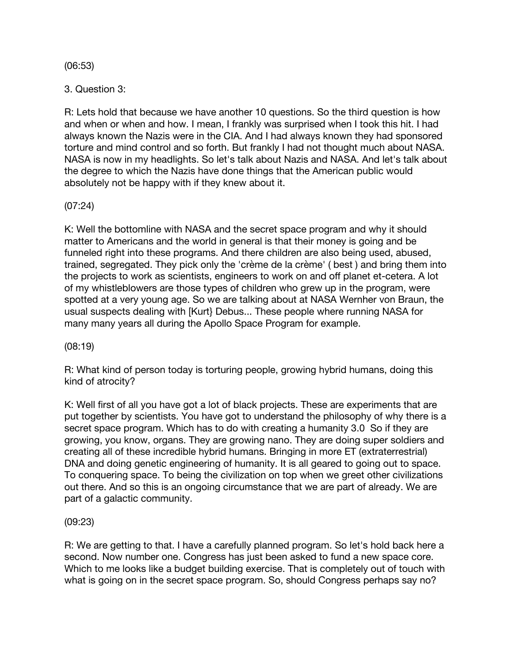(06:53)

3. Question 3:

R: Lets hold that because we have another 10 questions. So the third question is how and when or when and how. I mean, I frankly was surprised when I took this hit. I had always known the Nazis were in the CIA. And I had always known they had sponsored torture and mind control and so forth. But frankly I had not thought much about NASA. NASA is now in my headlights. So let's talk about Nazis and NASA. And let's talk about the degree to which the Nazis have done things that the American public would absolutely not be happy with if they knew about it.

(07:24)

K: Well the bottomline with NASA and the secret space program and why it should matter to Americans and the world in general is that their money is going and be funneled right into these programs. And there children are also being used, abused, trained, segregated. They pick only the 'crème de la crème' ( best ) and bring them into the projects to work as scientists, engineers to work on and off planet et-cetera. A lot of my whistleblowers are those types of children who grew up in the program, were spotted at a very young age. So we are talking about at NASA Wernher von Braun, the usual suspects dealing with [\[Kurt} Debus](https://en.wikipedia.org/wiki/Kurt_H._Debus)... These people where running NASA for many many years all during the Apollo Space Program for example.

(08:19)

R: What kind of person today is torturing people, growing hybrid humans, doing this kind of atrocity?

K: Well first of all you have got a lot of black projects. These are experiments that are put together by scientists. You have got to understand the philosophy of why there is a secret space program. Which has to do with creating a humanity 3.0 So if they are growing, you know, organs. They are growing nano. They are doing super soldiers and creating all of these incredible hybrid humans. Bringing in more ET (extraterrestrial) DNA and doing genetic engineering of humanity. It is all geared to going out to space. To conquering space. To being the civilization on top when we greet other civilizations out there. And so this is an ongoing circumstance that we are part of already. We are part of a galactic community.

### (09:23)

R: We are getting to that. I have a carefully planned program. So let's hold back here a second. Now number one. Congress has just been asked to fund a new space core. Which to me looks like a budget building exercise. That is completely out of touch with what is going on in the secret space program. So, should Congress perhaps say no?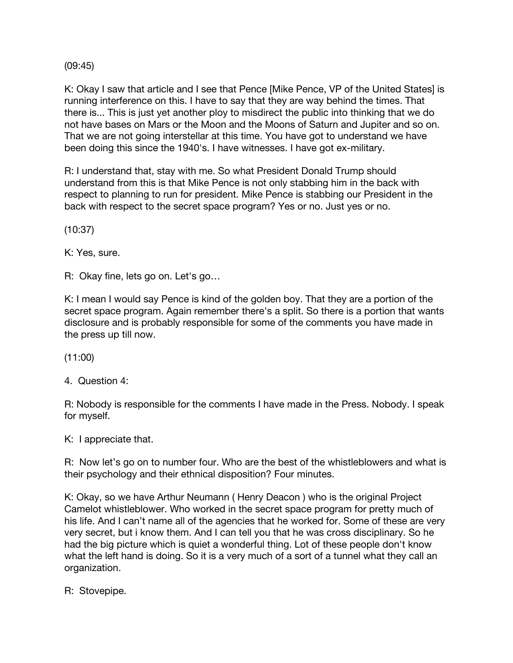(09:45)

K: Okay I saw that article and I see that Pence [Mike Pence, VP of the United States] is running interference on this. I have to say that they are way behind the times. That there is... This is just yet another ploy to misdirect the public into thinking that we do not have bases on Mars or the Moon and the Moons of Saturn and Jupiter and so on. That we are not going interstellar at this time. You have got to understand we have been doing this since the 1940's. I have witnesses. I have got ex-military.

R: I understand that, stay with me. So what President Donald Trump should understand from this is that Mike Pence is not only stabbing him in the back with respect to planning to run for president. Mike Pence is stabbing our President in the back with respect to the secret space program? Yes or no. Just yes or no.

(10:37)

K: Yes, sure.

R: Okay fine, lets go on. Let's go…

K: I mean I would say Pence is kind of the golden boy. That they are a portion of the secret space program. Again remember there's a split. So there is a portion that wants disclosure and is probably responsible for some of the comments you have made in the press up till now.

(11:00)

4. Question 4:

R: Nobody is responsible for the comments I have made in the Press. Nobody. I speak for myself.

K: I appreciate that.

R: Now let's go on to number four. Who are the best of the whistleblowers and what is their psychology and their ethnical disposition? Four minutes.

K: Okay, so we have Arthur Neumann ( Henry Deacon ) who is the original Project Camelot whistleblower. Who worked in the secret space program for pretty much of his life. And I can't name all of the agencies that he worked for. Some of these are very very secret, but i know them. And I can tell you that he was cross disciplinary. So he had the big picture which is quiet a wonderful thing. Lot of these people don't know what the left hand is doing. So it is a very much of a sort of a tunnel what they call an organization.

R: Stovepipe.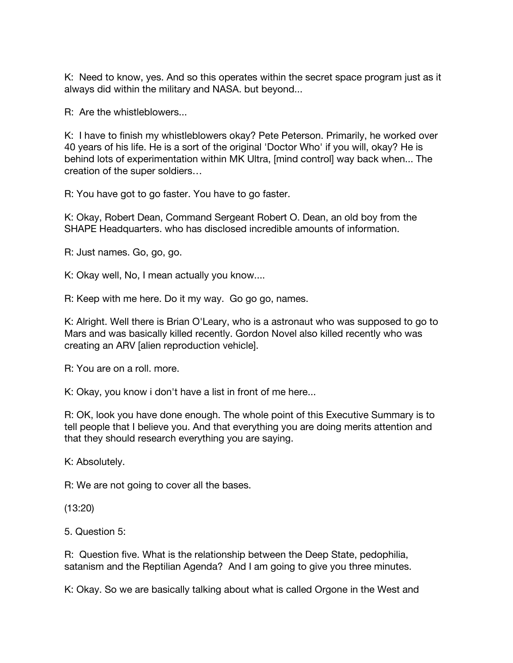K: Need to know, yes. And so this operates within the secret space program just as it always did within the military and NASA. but beyond...

R: Are the whistleblowers...

K: I have to finish my whistleblowers okay? Pete Peterson. Primarily, he worked over 40 years of his life. He is a sort of the original 'Doctor Who' if you will, okay? He is behind lots of experimentation within MK Ultra, [mind control] way back when... The creation of the super soldiers…

R: You have got to go faster. You have to go faster.

K: Okay, Robert Dean, Command Sergeant Robert O. Dean, an old boy from the SHAPE Headquarters. who has disclosed incredible amounts of information.

R: Just names. Go, go, go.

K: Okay well, No, I mean actually you know....

R: Keep with me here. Do it my way. Go go go, names.

K: Alright. Well there is Brian O'Leary, who is a astronaut who was supposed to go to Mars and was basically killed recently. Gordon Novel also killed recently who was creating an ARV [alien reproduction vehicle].

R: You are on a roll. more.

K: Okay, you know i don't have a list in front of me here...

R: OK, look you have done enough. The whole point of this Executive Summary is to tell people that I believe you. And that everything you are doing merits attention and that they should research everything you are saying.

K: Absolutely.

R: We are not going to cover all the bases.

(13:20)

5. Question 5:

R: Question five. What is the relationship between the Deep State, pedophilia, satanism and the Reptilian Agenda? And I am going to give you three minutes.

K: Okay. So we are basically talking about what is called Orgone in the West and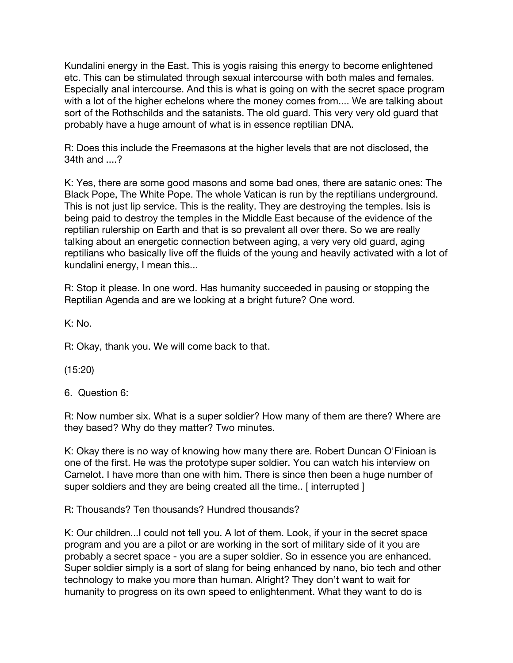Kundalini energy in the East. This is yogis raising this energy to become enlightened etc. This can be stimulated through sexual intercourse with both males and females. Especially anal intercourse. And this is what is going on with the secret space program with a lot of the higher echelons where the money comes from.... We are talking about sort of the Rothschilds and the satanists. The old guard. This very very old guard that probably have a huge amount of what is in essence reptilian DNA.

R: Does this include the Freemasons at the higher levels that are not disclosed, the 34th and ....?

K: Yes, there are some good masons and some bad ones, there are satanic ones: The Black Pope, The White Pope. The whole Vatican is run by the reptilians underground. This is not just lip service. This is the reality. They are destroying the temples. Isis is being paid to destroy the temples in the Middle East because of the evidence of the reptilian rulership on Earth and that is so prevalent all over there. So we are really talking about an energetic connection between aging, a very very old guard, aging reptilians who basically live off the fluids of the young and heavily activated with a lot of kundalini energy, I mean this...

R: Stop it please. In one word. Has humanity succeeded in pausing or stopping the Reptilian Agenda and are we looking at a bright future? One word.

K: No.

R: Okay, thank you. We will come back to that.

(15:20)

6. Question 6:

R: Now number six. What is a super soldier? How many of them are there? Where are they based? Why do they matter? Two minutes.

K: Okay there is no way of knowing how many there are. Robert Duncan O'Finioan is one of the first. He was the prototype super soldier. You can watch his interview on Camelot. I have more than one with him. There is since then been a huge number of super soldiers and they are being created all the time.. [ interrupted ]

R: Thousands? Ten thousands? Hundred thousands?

K: Our children...I could not tell you. A lot of them. Look, if your in the secret space program and you are a pilot or are working in the sort of military side of it you are probably a secret space - you are a super soldier. So in essence you are enhanced. Super soldier simply is a sort of slang for being enhanced by nano, bio tech and other technology to make you more than human. Alright? They don't want to wait for humanity to progress on its own speed to enlightenment. What they want to do is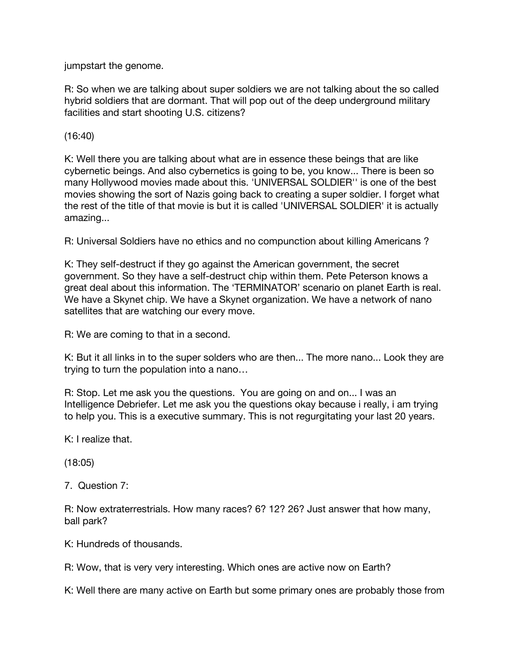jumpstart the genome.

R: So when we are talking about super soldiers we are not talking about the so called hybrid soldiers that are dormant. That will pop out of the deep underground military facilities and start shooting U.S. citizens?

(16:40)

K: Well there you are talking about what are in essence these beings that are like cybernetic beings. And also cybernetics is going to be, you know... There is been so many Hollywood movies made about this. 'UNIVERSAL SOLDIER'' is one of the best movies showing the sort of Nazis going back to creating a super soldier. I forget what the rest of the title of that movie is but it is called 'UNIVERSAL SOLDIER' it is actually amazing...

R: Universal Soldiers have no ethics and no compunction about killing Americans ?

K: They self-destruct if they go against the American government, the secret government. So they have a self-destruct chip within them. Pete Peterson knows a great deal about this information. The 'TERMINATOR' scenario on planet Earth is real. We have a Skynet chip. We have a Skynet organization. We have a network of nano satellites that are watching our every move.

R: We are coming to that in a second.

K: But it all links in to the super solders who are then... The more nano... Look they are trying to turn the population into a nano…

R: Stop. Let me ask you the questions. You are going on and on... I was an Intelligence Debriefer. Let me ask you the questions okay because i really, i am trying to help you. This is a executive summary. This is not regurgitating your last 20 years.

K: I realize that.

(18:05)

7. Question 7:

R: Now extraterrestrials. How many races? 6? 12? 26? Just answer that how many, ball park?

K: Hundreds of thousands.

R: Wow, that is very very interesting. Which ones are active now on Earth?

K: Well there are many active on Earth but some primary ones are probably those from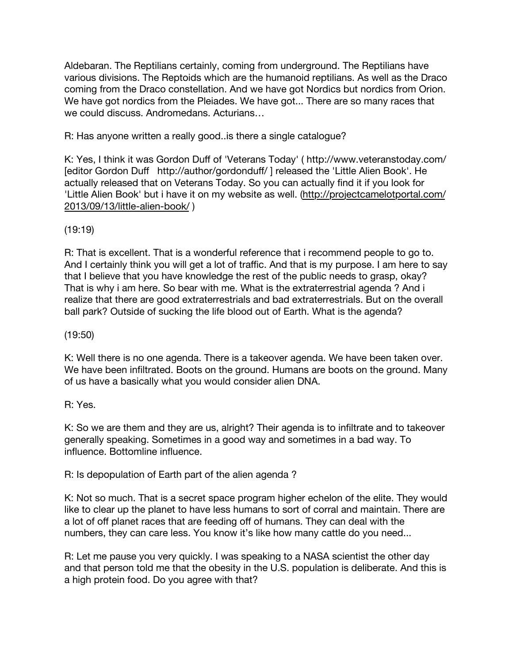Aldebaran. The Reptilians certainly, coming from underground. The Reptilians have various divisions. The Reptoids which are the humanoid reptilians. As well as the Draco coming from the Draco constellation. And we have got Nordics but nordics from Orion. We have got nordics from the Pleiades. We have got... There are so many races that we could discuss. Andromedans. Acturians…

R: Has anyone written a really good..is there a single catalogue?

K: Yes, I think it was Gordon Duff of 'Veterans Today' ( http://www.veteranstoday.com/ [editor Gordon Duff http://author/gordonduff/ ] released the 'Little Alien Book'. He actually released that on Veterans Today. So you can actually find it if you look for 'Little Alien Book' but i have it on my website as well. [\(http://projectcamelotportal.com/](http://projectcamelotportal.com/2013/09/13/little-alien-book/) [2013/09/13/little-alien-book/](http://projectcamelotportal.com/2013/09/13/little-alien-book/) )

# (19:19)

R: That is excellent. That is a wonderful reference that i recommend people to go to. And I certainly think you will get a lot of traffic. And that is my purpose. I am here to say that I believe that you have knowledge the rest of the public needs to grasp, okay? That is why i am here. So bear with me. What is the extraterrestrial agenda ? And i realize that there are good extraterrestrials and bad extraterrestrials. But on the overall ball park? Outside of sucking the life blood out of Earth. What is the agenda?

(19:50)

K: Well there is no one agenda. There is a takeover agenda. We have been taken over. We have been infiltrated. Boots on the ground. Humans are boots on the ground. Many of us have a basically what you would consider alien DNA.

R: Yes.

K: So we are them and they are us, alright? Their agenda is to infiltrate and to takeover generally speaking. Sometimes in a good way and sometimes in a bad way. To influence. Bottomline influence.

R: Is depopulation of Earth part of the alien agenda ?

K: Not so much. That is a secret space program higher echelon of the elite. They would like to clear up the planet to have less humans to sort of corral and maintain. There are a lot of off planet races that are feeding off of humans. They can deal with the numbers, they can care less. You know it's like how many cattle do you need...

R: Let me pause you very quickly. I was speaking to a NASA scientist the other day and that person told me that the obesity in the U.S. population is deliberate. And this is a high protein food. Do you agree with that?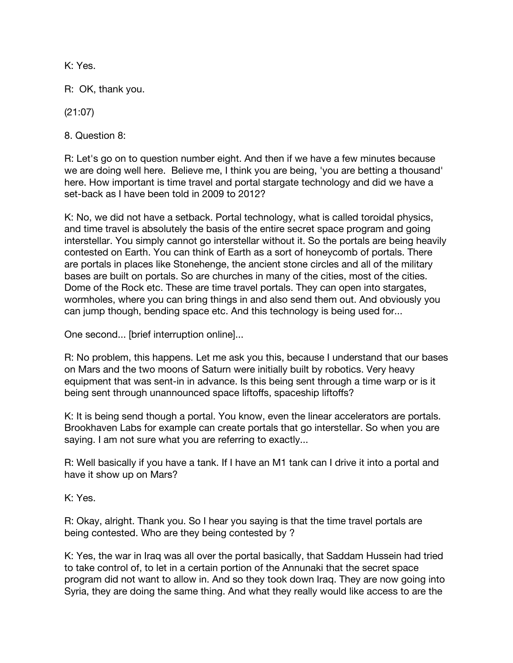K: Yes.

R: OK, thank you.

(21:07)

8. Question 8:

R: Let's go on to question number eight. And then if we have a few minutes because we are doing well here. Believe me, I think you are being, 'you are betting a thousand' here. How important is time travel and portal stargate technology and did we have a set-back as I have been told in 2009 to 2012?

K: No, we did not have a setback. Portal technology, what is called toroidal physics, and time travel is absolutely the basis of the entire secret space program and going interstellar. You simply cannot go interstellar without it. So the portals are being heavily contested on Earth. You can think of Earth as a sort of honeycomb of portals. There are portals in places like Stonehenge, the ancient stone circles and all of the military bases are built on portals. So are churches in many of the cities, most of the cities. Dome of the Rock etc. These are time travel portals. They can open into stargates, wormholes, where you can bring things in and also send them out. And obviously you can jump though, bending space etc. And this technology is being used for...

One second... [brief interruption online]...

R: No problem, this happens. Let me ask you this, because I understand that our bases on Mars and the two moons of Saturn were initially built by robotics. Very heavy equipment that was sent-in in advance. Is this being sent through a time warp or is it being sent through unannounced space liftoffs, spaceship liftoffs?

K: It is being send though a portal. You know, even the linear accelerators are portals. Brookhaven Labs for example can create portals that go interstellar. So when you are saying. I am not sure what you are referring to exactly...

R: Well basically if you have a tank. If I have an M1 tank can I drive it into a portal and have it show up on Mars?

K: Yes.

R: Okay, alright. Thank you. So I hear you saying is that the time travel portals are being contested. Who are they being contested by ?

K: Yes, the war in Iraq was all over the portal basically, that Saddam Hussein had tried to take control of, to let in a certain portion of the Annunaki that the secret space program did not want to allow in. And so they took down Iraq. They are now going into Syria, they are doing the same thing. And what they really would like access to are the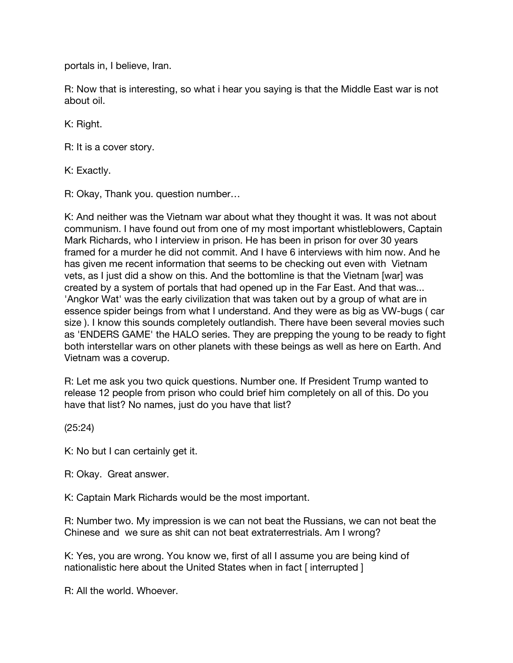portals in, I believe, Iran.

R: Now that is interesting, so what i hear you saying is that the Middle East war is not about oil.

K: Right.

R: It is a cover story.

K: Exactly.

R: Okay, Thank you. question number…

K: And neither was the Vietnam war about what they thought it was. It was not about communism. I have found out from one of my most important whistleblowers, Captain Mark Richards, who I interview in prison. He has been in prison for over 30 years framed for a murder he did not commit. And I have 6 interviews with him now. And he has given me recent information that seems to be checking out even with Vietnam vets, as I just did a show on this. And the bottomline is that the Vietnam [war] was created by a system of portals that had opened up in the Far East. And that was... 'Angkor Wat' was the early civilization that was taken out by a group of what are in essence spider beings from what I understand. And they were as big as VW-bugs ( car size ). I know this sounds completely outlandish. There have been several movies such as 'ENDERS GAME' the HALO series. They are prepping the young to be ready to fight both interstellar wars on other planets with these beings as well as here on Earth. And Vietnam was a coverup.

R: Let me ask you two quick questions. Number one. If President Trump wanted to release 12 people from prison who could brief him completely on all of this. Do you have that list? No names, just do you have that list?

(25:24)

K: No but I can certainly get it.

R: Okay. Great answer.

K: Captain Mark Richards would be the most important.

R: Number two. My impression is we can not beat the Russians, we can not beat the Chinese and we sure as shit can not beat extraterrestrials. Am I wrong?

K: Yes, you are wrong. You know we, first of all I assume you are being kind of nationalistic here about the United States when in fact [ interrupted ]

R: All the world. Whoever.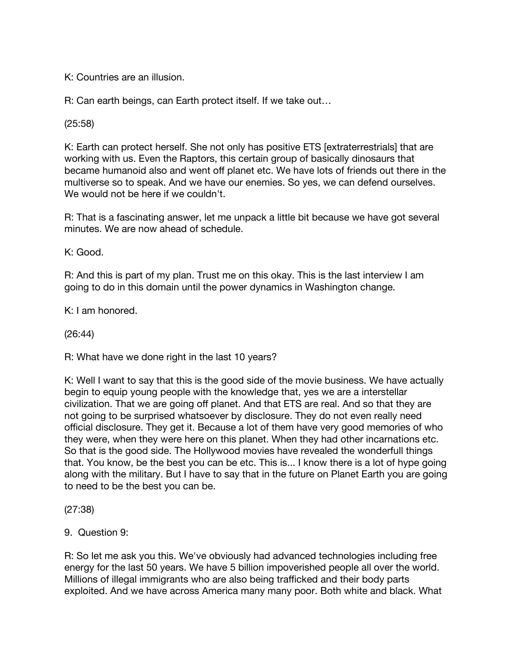K: Countries are an illusion.

R: Can earth beings, can Earth protect itself. If we take out…

(25:58)

K: Earth can protect herself. She not only has positive ETS [extraterrestrials] that are working with us. Even the Raptors, this certain group of basically dinosaurs that became humanoid also and went off planet etc. We have lots of friends out there in the multiverse so to speak. And we have our enemies. So yes, we can defend ourselves. We would not be here if we couldn't.

R: That is a fascinating answer, let me unpack a little bit because we have got several minutes. We are now ahead of schedule.

K: Good.

R: And this is part of my plan. Trust me on this okay. This is the last interview I am going to do in this domain until the power dynamics in Washington change.

K: I am honored.

(26:44)

R: What have we done right in the last 10 years?

K: Well I want to say that this is the good side of the movie business. We have actually begin to equip young people with the knowledge that, yes we are a interstellar civilization. That we are going off planet. And that ETS are real. And so that they are not going to be surprised whatsoever by disclosure. They do not even really need official disclosure. They get it. Because a lot of them have very good memories of who they were, when they were here on this planet. When they had other incarnations etc. So that is the good side. The Hollywood movies have revealed the wonderfull things that. You know, be the best you can be etc. This is... I know there is a lot of hype going along with the military. But I have to say that in the future on Planet Earth you are going to need to be the best you can be.

(27:38)

9. Question 9:

R: So let me ask you this. We've obviously had advanced technologies including free energy for the last 50 years. We have 5 billion impoverished people all over the world. Millions of illegal immigrants who are also being trafficked and their body parts exploited. And we have across America many many poor. Both white and black. What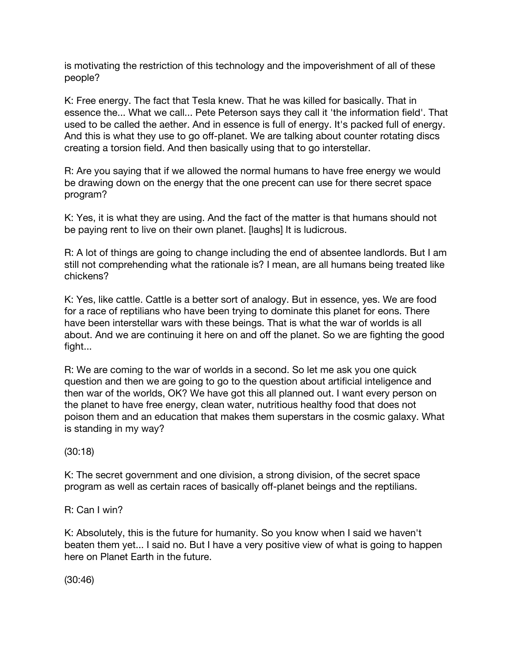is motivating the restriction of this technology and the impoverishment of all of these people?

K: Free energy. The fact that Tesla knew. That he was killed for basically. That in essence the... What we call... Pete Peterson says they call it 'the information field'. That used to be called the aether. And in essence is full of energy. It's packed full of energy. And this is what they use to go off-planet. We are talking about counter rotating discs creating a torsion field. And then basically using that to go interstellar.

R: Are you saying that if we allowed the normal humans to have free energy we would be drawing down on the energy that the one precent can use for there secret space program?

K: Yes, it is what they are using. And the fact of the matter is that humans should not be paying rent to live on their own planet. [laughs] It is ludicrous.

R: A lot of things are going to change including the end of absentee landlords. But I am still not comprehending what the rationale is? I mean, are all humans being treated like chickens?

K: Yes, like cattle. Cattle is a better sort of analogy. But in essence, yes. We are food for a race of reptilians who have been trying to dominate this planet for eons. There have been interstellar wars with these beings. That is what the war of worlds is all about. And we are continuing it here on and off the planet. So we are fighting the good fight...

R: We are coming to the war of worlds in a second. So let me ask you one quick question and then we are going to go to the question about artificial inteligence and then war of the worlds, OK? We have got this all planned out. I want every person on the planet to have free energy, clean water, nutritious healthy food that does not poison them and an education that makes them superstars in the cosmic galaxy. What is standing in my way?

(30:18)

K: The secret government and one division, a strong division, of the secret space program as well as certain races of basically off-planet beings and the reptilians.

R: Can I win?

K: Absolutely, this is the future for humanity. So you know when I said we haven't beaten them yet... I said no. But I have a very positive view of what is going to happen here on Planet Earth in the future.

(30:46)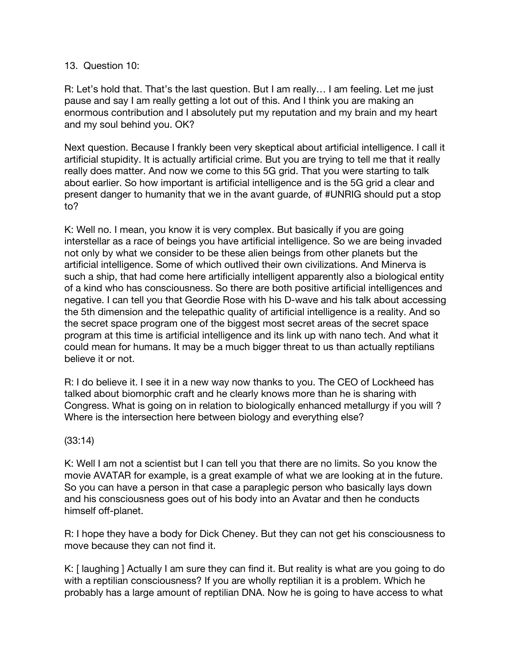#### 13. Question 10:

R: Let's hold that. That's the last question. But I am really… I am feeling. Let me just pause and say I am really getting a lot out of this. And I think you are making an enormous contribution and I absolutely put my reputation and my brain and my heart and my soul behind you. OK?

Next question. Because I frankly been very skeptical about artificial intelligence. I call it artificial stupidity. It is actually artificial crime. But you are trying to tell me that it really really does matter. And now we come to this 5G grid. That you were starting to talk about earlier. So how important is artificial intelligence and is the 5G grid a clear and present danger to humanity that we in the avant guarde, of #UNRIG should put a stop to?

K: Well no. I mean, you know it is very complex. But basically if you are going interstellar as a race of beings you have artificial intelligence. So we are being invaded not only by what we consider to be these alien beings from other planets but the artificial intelligence. Some of which outlived their own civilizations. And Minerva is such a ship, that had come here artificially intelligent apparently also a biological entity of a kind who has consciousness. So there are both positive artificial intelligences and negative. I can tell you that Geordie Rose with his D-wave and his talk about accessing the 5th dimension and the telepathic quality of artificial intelligence is a reality. And so the secret space program one of the biggest most secret areas of the secret space program at this time is artificial intelligence and its link up with nano tech. And what it could mean for humans. It may be a much bigger threat to us than actually reptilians believe it or not.

R: I do believe it. I see it in a new way now thanks to you. The CEO of Lockheed has talked about biomorphic craft and he clearly knows more than he is sharing with Congress. What is going on in relation to biologically enhanced metallurgy if you will ? Where is the intersection here between biology and everything else?

### (33:14)

K: Well I am not a scientist but I can tell you that there are no limits. So you know the movie AVATAR for example, is a great example of what we are looking at in the future. So you can have a person in that case a paraplegic person who basically lays down and his consciousness goes out of his body into an Avatar and then he conducts himself off-planet.

R: I hope they have a body for Dick Cheney. But they can not get his consciousness to move because they can not find it.

K: [ laughing ] Actually I am sure they can find it. But reality is what are you going to do with a reptilian consciousness? If you are wholly reptilian it is a problem. Which he probably has a large amount of reptilian DNA. Now he is going to have access to what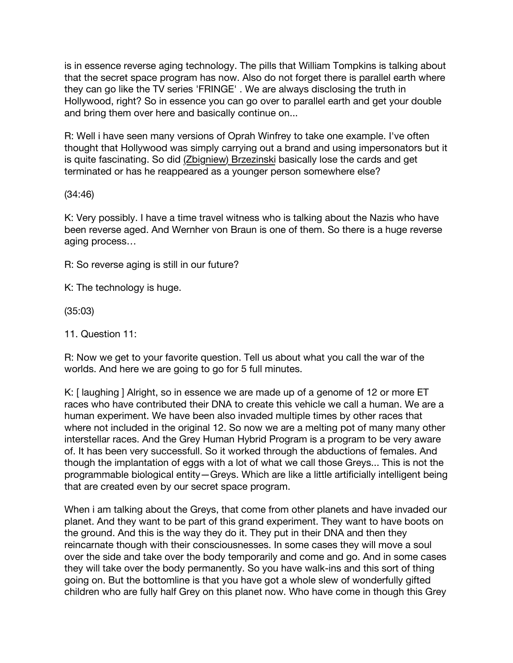is in essence reverse aging technology. The pills that William Tompkins is talking about that the secret space program has now. Also do not forget there is parallel earth where they can go like the TV series 'FRINGE' . We are always disclosing the truth in Hollywood, right? So in essence you can go over to parallel earth and get your double and bring them over here and basically continue on...

R: Well i have seen many versions of Oprah Winfrey to take one example. I've often thought that Hollywood was simply carrying out a brand and using impersonators but it is quite fascinating. So did [\(Zbigniew\) Brzezinski](https://en.wikipedia.org/wiki/Zbigniew_Brzezinski) basically lose the cards and get terminated or has he reappeared as a younger person somewhere else?

(34:46)

K: Very possibly. I have a time travel witness who is talking about the Nazis who have been reverse aged. And Wernher von Braun is one of them. So there is a huge reverse aging process…

R: So reverse aging is still in our future?

K: The technology is huge.

(35:03)

11. Question 11:

R: Now we get to your favorite question. Tell us about what you call the war of the worlds. And here we are going to go for 5 full minutes.

K: [ laughing ] Alright, so in essence we are made up of a genome of 12 or more ET races who have contributed their DNA to create this vehicle we call a human. We are a human experiment. We have been also invaded multiple times by other races that where not included in the original 12. So now we are a melting pot of many many other interstellar races. And the Grey Human Hybrid Program is a program to be very aware of. It has been very successfull. So it worked through the abductions of females. And though the implantation of eggs with a lot of what we call those Greys... This is not the programmable biological entity—Greys. Which are like a little artificially intelligent being that are created even by our secret space program.

When i am talking about the Greys, that come from other planets and have invaded our planet. And they want to be part of this grand experiment. They want to have boots on the ground. And this is the way they do it. They put in their DNA and then they reincarnate though with their consciousnesses. In some cases they will move a soul over the side and take over the body temporarily and come and go. And in some cases they will take over the body permanently. So you have walk-ins and this sort of thing going on. But the bottomline is that you have got a whole slew of wonderfully gifted children who are fully half Grey on this planet now. Who have come in though this Grey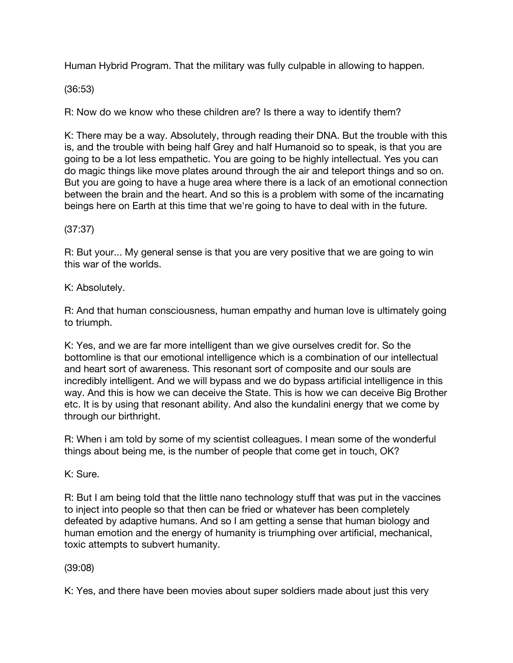Human Hybrid Program. That the military was fully culpable in allowing to happen.

(36:53)

R: Now do we know who these children are? Is there a way to identify them?

K: There may be a way. Absolutely, through reading their DNA. But the trouble with this is, and the trouble with being half Grey and half Humanoid so to speak, is that you are going to be a lot less empathetic. You are going to be highly intellectual. Yes you can do magic things like move plates around through the air and teleport things and so on. But you are going to have a huge area where there is a lack of an emotional connection between the brain and the heart. And so this is a problem with some of the incarnating beings here on Earth at this time that we're going to have to deal with in the future.

(37:37)

R: But your... My general sense is that you are very positive that we are going to win this war of the worlds.

K: Absolutely.

R: And that human consciousness, human empathy and human love is ultimately going to triumph.

K: Yes, and we are far more intelligent than we give ourselves credit for. So the bottomline is that our emotional intelligence which is a combination of our intellectual and heart sort of awareness. This resonant sort of composite and our souls are incredibly intelligent. And we will bypass and we do bypass artificial intelligence in this way. And this is how we can deceive the State. This is how we can deceive Big Brother etc. It is by using that resonant ability. And also the kundalini energy that we come by through our birthright.

R: When i am told by some of my scientist colleagues. I mean some of the wonderful things about being me, is the number of people that come get in touch, OK?

K: Sure.

R: But I am being told that the little nano technology stuff that was put in the vaccines to inject into people so that then can be fried or whatever has been completely defeated by adaptive humans. And so I am getting a sense that human biology and human emotion and the energy of humanity is triumphing over artificial, mechanical, toxic attempts to subvert humanity.

(39:08)

K: Yes, and there have been movies about super soldiers made about just this very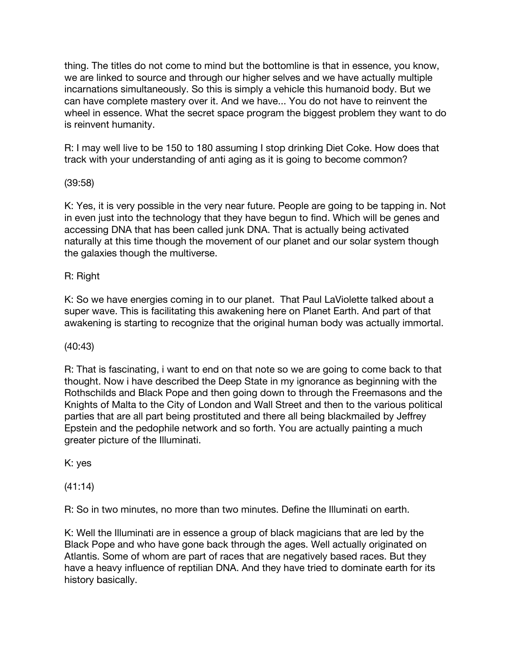thing. The titles do not come to mind but the bottomline is that in essence, you know, we are linked to source and through our higher selves and we have actually multiple incarnations simultaneously. So this is simply a vehicle this humanoid body. But we can have complete mastery over it. And we have... You do not have to reinvent the wheel in essence. What the secret space program the biggest problem they want to do is reinvent humanity.

R: I may well live to be 150 to 180 assuming I stop drinking Diet Coke. How does that track with your understanding of anti aging as it is going to become common?

(39:58)

K: Yes, it is very possible in the very near future. People are going to be tapping in. Not in even just into the technology that they have begun to find. Which will be genes and accessing DNA that has been called junk DNA. That is actually being activated naturally at this time though the movement of our planet and our solar system though the galaxies though the multiverse.

R: Right

K: So we have energies coming in to our planet. That Paul LaViolette talked about a super wave. This is facilitating this awakening here on Planet Earth. And part of that awakening is starting to recognize that the original human body was actually immortal.

(40:43)

R: That is fascinating, i want to end on that note so we are going to come back to that thought. Now i have described the Deep State in my ignorance as beginning with the Rothschilds and Black Pope and then going down to through the Freemasons and the Knights of Malta to the City of London and Wall Street and then to the various political parties that are all part being prostituted and there all being blackmailed by Jeffrey Epstein and the pedophile network and so forth. You are actually painting a much greater picture of the Illuminati.

K: yes

(41:14)

R: So in two minutes, no more than two minutes. Define the Illuminati on earth.

K: Well the Illuminati are in essence a group of black magicians that are led by the Black Pope and who have gone back through the ages. Well actually originated on Atlantis. Some of whom are part of races that are negatively based races. But they have a heavy influence of reptilian DNA. And they have tried to dominate earth for its history basically.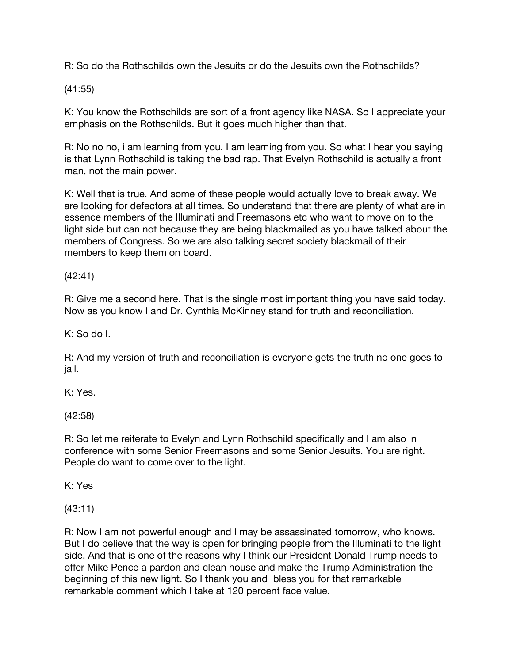R: So do the Rothschilds own the Jesuits or do the Jesuits own the Rothschilds?

(41:55)

K: You know the Rothschilds are sort of a front agency like NASA. So I appreciate your emphasis on the Rothschilds. But it goes much higher than that.

R: No no no, i am learning from you. I am learning from you. So what I hear you saying is that Lynn Rothschild is taking the bad rap. That Evelyn Rothschild is actually a front man, not the main power.

K: Well that is true. And some of these people would actually love to break away. We are looking for defectors at all times. So understand that there are plenty of what are in essence members of the Illuminati and Freemasons etc who want to move on to the light side but can not because they are being blackmailed as you have talked about the members of Congress. So we are also talking secret society blackmail of their members to keep them on board.

(42:41)

R: Give me a second here. That is the single most important thing you have said today. Now as you know I and Dr. Cynthia McKinney stand for truth and reconciliation.

K: So do I.

R: And my version of truth and reconciliation is everyone gets the truth no one goes to jail.

K: Yes.

(42:58)

R: So let me reiterate to Evelyn and Lynn Rothschild specifically and I am also in conference with some Senior Freemasons and some Senior Jesuits. You are right. People do want to come over to the light.

K: Yes

(43:11)

R: Now I am not powerful enough and I may be assassinated tomorrow, who knows. But I do believe that the way is open for bringing people from the Illuminati to the light side. And that is one of the reasons why I think our President Donald Trump needs to offer Mike Pence a pardon and clean house and make the Trump Administration the beginning of this new light. So I thank you and bless you for that remarkable remarkable comment which I take at 120 percent face value.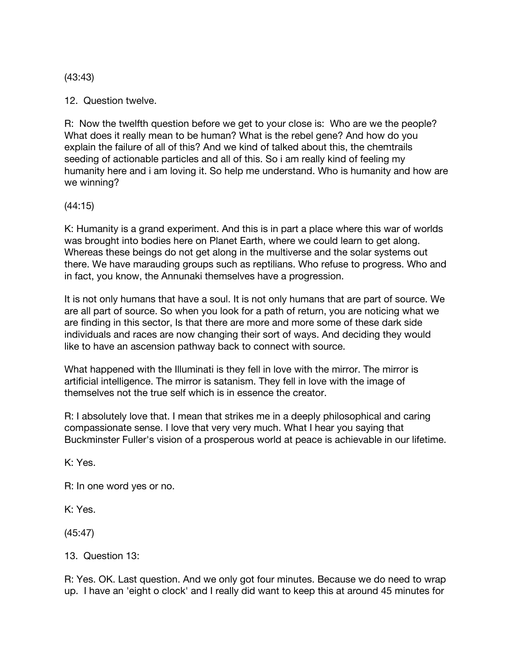(43:43)

12. Question twelve.

R: Now the twelfth question before we get to your close is: Who are we the people? What does it really mean to be human? What is the rebel gene? And how do you explain the failure of all of this? And we kind of talked about this, the chemtrails seeding of actionable particles and all of this. So i am really kind of feeling my humanity here and i am loving it. So help me understand. Who is humanity and how are we winning?

(44:15)

K: Humanity is a grand experiment. And this is in part a place where this war of worlds was brought into bodies here on Planet Earth, where we could learn to get along. Whereas these beings do not get along in the multiverse and the solar systems out there. We have marauding groups such as reptilians. Who refuse to progress. Who and in fact, you know, the Annunaki themselves have a progression.

It is not only humans that have a soul. It is not only humans that are part of source. We are all part of source. So when you look for a path of return, you are noticing what we are finding in this sector, Is that there are more and more some of these dark side individuals and races are now changing their sort of ways. And deciding they would like to have an ascension pathway back to connect with source.

What happened with the Illuminati is they fell in love with the mirror. The mirror is artificial intelligence. The mirror is satanism. They fell in love with the image of themselves not the true self which is in essence the creator.

R: I absolutely love that. I mean that strikes me in a deeply philosophical and caring compassionate sense. I love that very very much. What I hear you saying that Buckminster Fuller's vision of a prosperous world at peace is achievable in our lifetime.

K: Yes.

R: In one word yes or no.

K: Yes.

(45:47)

13. Question 13:

R: Yes. OK. Last question. And we only got four minutes. Because we do need to wrap up. I have an 'eight o clock' and I really did want to keep this at around 45 minutes for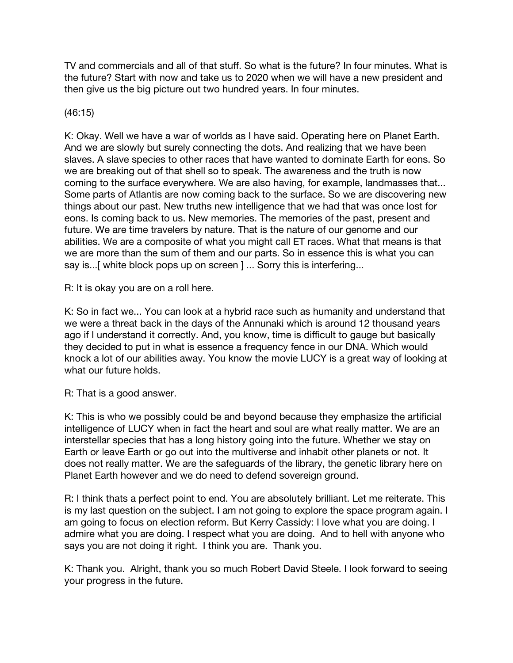TV and commercials and all of that stuff. So what is the future? In four minutes. What is the future? Start with now and take us to 2020 when we will have a new president and then give us the big picture out two hundred years. In four minutes.

## (46:15)

K: Okay. Well we have a war of worlds as I have said. Operating here on Planet Earth. And we are slowly but surely connecting the dots. And realizing that we have been slaves. A slave species to other races that have wanted to dominate Earth for eons. So we are breaking out of that shell so to speak. The awareness and the truth is now coming to the surface everywhere. We are also having, for example, landmasses that... Some parts of Atlantis are now coming back to the surface. So we are discovering new things about our past. New truths new intelligence that we had that was once lost for eons. Is coming back to us. New memories. The memories of the past, present and future. We are time travelers by nature. That is the nature of our genome and our abilities. We are a composite of what you might call ET races. What that means is that we are more than the sum of them and our parts. So in essence this is what you can say is...[ white block pops up on screen ] ... Sorry this is interfering...

R: It is okay you are on a roll here.

K: So in fact we... You can look at a hybrid race such as humanity and understand that we were a threat back in the days of the Annunaki which is around 12 thousand years ago if I understand it correctly. And, you know, time is difficult to gauge but basically they decided to put in what is essence a frequency fence in our DNA. Which would knock a lot of our abilities away. You know the movie LUCY is a great way of looking at what our future holds.

R: That is a good answer.

K: This is who we possibly could be and beyond because they emphasize the artificial intelligence of LUCY when in fact the heart and soul are what really matter. We are an interstellar species that has a long history going into the future. Whether we stay on Earth or leave Earth or go out into the multiverse and inhabit other planets or not. It does not really matter. We are the safeguards of the library, the genetic library here on Planet Earth however and we do need to defend sovereign ground.

R: I think thats a perfect point to end. You are absolutely brilliant. Let me reiterate. This is my last question on the subject. I am not going to explore the space program again. I am going to focus on election reform. But Kerry Cassidy: I love what you are doing. I admire what you are doing. I respect what you are doing. And to hell with anyone who says you are not doing it right. I think you are. Thank you.

K: Thank you. Alright, thank you so much Robert David Steele. I look forward to seeing your progress in the future.